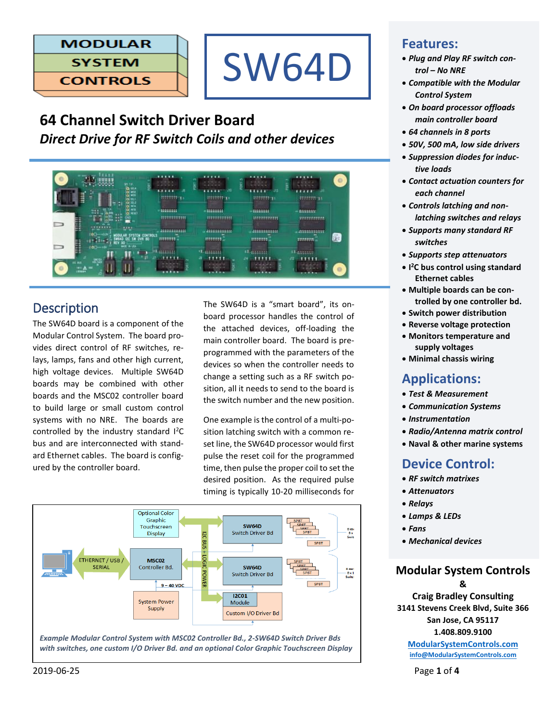# **MODULAR SYSTEM**

**CONTROLS** 



# **64 Channel Switch Driver Board** *Direct Drive for RF Switch Coils and other devices*



# **Description**

The SW64D board is a component of the Modular Control System. The board provides direct control of RF switches, relays, lamps, fans and other high current, high voltage devices. Multiple SW64D boards may be combined with other boards and the MSC02 controller board to build large or small custom control systems with no NRE. The boards are controlled by the industry standard I<sup>2</sup>C bus and are interconnected with standard Ethernet cables. The board is configured by the controller board.

The SW64D is a "smart board", its onboard processor handles the control of the attached devices, off-loading the main controller board. The board is preprogrammed with the parameters of the devices so when the controller needs to change a setting such as a RF switch position, all it needs to send to the board is the switch number and the new position.

One example is the control of a multi-position latching switch with a common reset line, the SW64D processor would first pulse the reset coil for the programmed time, then pulse the proper coil to set the desired position. As the required pulse timing is typically 10-20 milliseconds for



*with switches, one custom I/O Driver Bd. and an optional Color Graphic Touchscreen Display*

## **Features:**

- *Plug and Play RF switch control – No NRE*
- *Compatible with the Modular Control System*
- *On board processor offloads main controller board*
- *64 channels in 8 ports*
- *50V, 500 mA, low side drivers*
- *Suppression diodes for inductive loads*
- *Contact actuation counters for each channel*
- *Controls latching and nonlatching switches and relays*
- *Supports many standard RF switches*
- *Supports step attenuators*
- **I <sup>2</sup>C bus control using standard Ethernet cables**
- **Multiple boards can be controlled by one controller bd.**
- **Switch power distribution**
- **Reverse voltage protection**
- **Monitors temperature and supply voltages**
- **Minimal chassis wiring**

# **Applications:**

- *Test & Measurement*
- *Communication Systems*
- *Instrumentation*
- *Radio/Antenna matrix control*
- **Naval & other marine systems**

# **Device Control:**

- *RF switch matrixes*
- *Attenuators*
- *Relays*
- *Lamps & LEDs*
- *Fans*
- *Mechanical devices*

# **Modular System Controls**

**& Craig Bradley Consulting 3141 Stevens Creek Blvd, Suite 366 San Jose, CA 95117 1.408.809.9100**

**[ModularSystemControls.com](http://modularsystemcontrols.com/) [info@ModularSystemControls.com](mailto:info@ModularSystemControls.com)**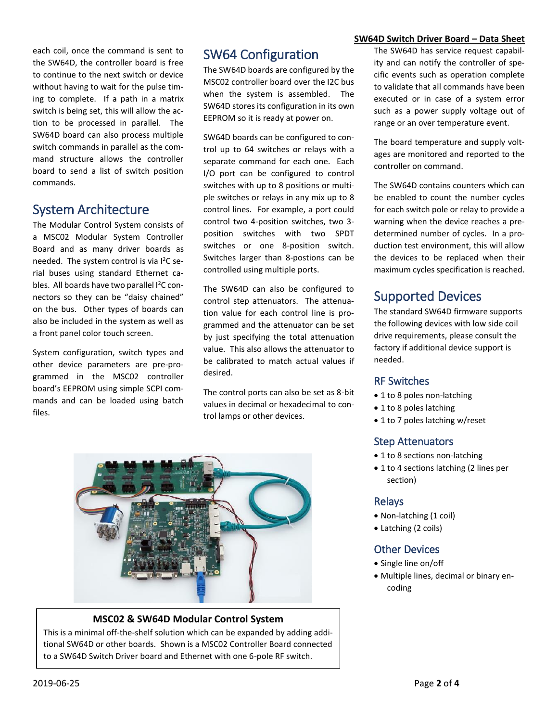each coil, once the command is sent to the SW64D, the controller board is free to continue to the next switch or device without having to wait for the pulse timing to complete. If a path in a matrix switch is being set, this will allow the action to be processed in parallel. The SW64D board can also process multiple switch commands in parallel as the command structure allows the controller board to send a list of switch position commands.

# System Architecture

The Modular Control System consists of a MSC02 Modular System Controller Board and as many driver boards as needed. The system control is via l<sup>2</sup>C serial buses using standard Ethernet cables. All boards have two parallel I<sup>2</sup>C connectors so they can be "daisy chained" on the bus. Other types of boards can also be included in the system as well as a front panel color touch screen.

System configuration, switch types and other device parameters are pre-programmed in the MSC02 controller board's EEPROM using simple SCPI commands and can be loaded using batch files.

# SW64 Configuration

The SW64D boards are configured by the MSC02 controller board over the I2C bus when the system is assembled. The SW64D stores its configuration in its own EEPROM so it is ready at power on.

SW64D boards can be configured to control up to 64 switches or relays with a separate command for each one. Each I/O port can be configured to control switches with up to 8 positions or multiple switches or relays in any mix up to 8 control lines. For example, a port could control two 4-position switches, two 3 position switches with two SPDT switches or one 8-position switch. Switches larger than 8-postions can be controlled using multiple ports.

The SW64D can also be configured to control step attenuators. The attenuation value for each control line is programmed and the attenuator can be set by just specifying the total attenuation value. This also allows the attenuator to be calibrated to match actual values if desired.

The control ports can also be set as 8-bit values in decimal or hexadecimal to control lamps or other devices.



#### **MSC02 & SW64D Modular Control System**

This is a minimal off-the-shelf solution which can be expanded by adding additional SW64D or other boards. Shown is a MSC02 Controller Board connected to a SW64D Switch Driver board and Ethernet with one 6-pole RF switch.

#### **SW64D Switch Driver Board – Data Sheet**

The SW64D has service request capability and can notify the controller of specific events such as operation complete to validate that all commands have been executed or in case of a system error such as a power supply voltage out of range or an over temperature event.

The board temperature and supply voltages are monitored and reported to the controller on command.

The SW64D contains counters which can be enabled to count the number cycles for each switch pole or relay to provide a warning when the device reaches a predetermined number of cycles. In a production test environment, this will allow the devices to be replaced when their maximum cycles specification is reached.

# Supported Devices

The standard SW64D firmware supports the following devices with low side coil drive requirements, please consult the factory if additional device support is needed.

#### RF Switches

- 1 to 8 poles non-latching
- 1 to 8 poles latching
- 1 to 7 poles latching w/reset

### Step Attenuators

- 1 to 8 sections non-latching
- 1 to 4 sections latching (2 lines per section)

#### Relays

- Non-latching (1 coil)
- Latching (2 coils)

### Other Devices

- Single line on/off
- Multiple lines, decimal or binary encoding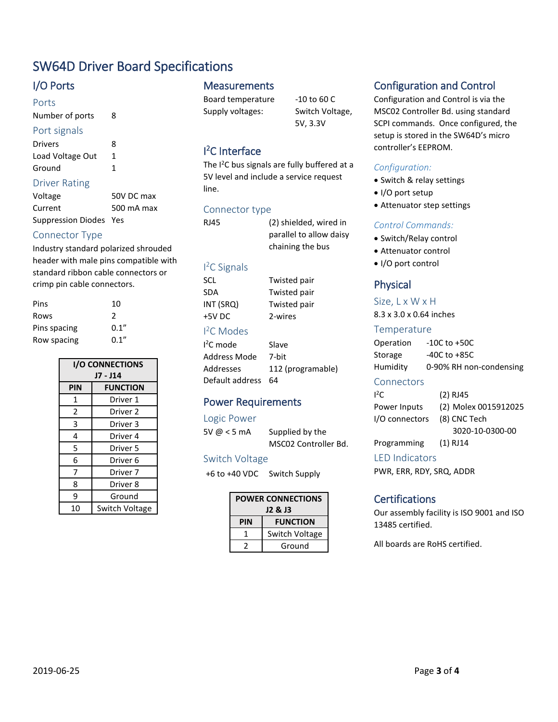# SW64D Driver Board Specifications

### I/O Ports

#### Ports

Number of ports 8

#### Port signals

| Drivers          | 8 |
|------------------|---|
| Load Voltage Out | 1 |
| Ground           |   |

#### Driver Rating

| Voltage                | 50V DC max |
|------------------------|------------|
| Current                | 500 mA max |
| Suppression Diodes Yes |            |

### Connector Type

Industry standard polarized shrouded header with male pins compatible with standard ribbon cable connectors or crimp pin cable connectors.

| Pins         | 10    |
|--------------|-------|
| Rows         | 2     |
| Pins spacing | 0.1'' |
| Row spacing  | 0.1'' |

| <b>I/O CONNECTIONS</b> |                     |
|------------------------|---------------------|
| J7 - J14               |                     |
| PIN                    | <b>FUNCTION</b>     |
| 1                      | Driver 1            |
| $\overline{2}$         | Driver 2            |
| 3                      | Driver 3            |
| 4                      | Driver 4            |
| 5                      | Driver 5            |
| 6                      | Driver 6            |
| 7                      | Driver <sub>7</sub> |
| 8                      | Driver 8            |
| 9                      | Ground              |
| 10                     | Switch Voltage      |

### **Measurements**

Board temperature -10 to 60 C Supply voltages: Switch Voltage,

5V, 3.3V

## I <sup>2</sup>C Interface

The I<sup>2</sup>C bus signals are fully buffered at a 5V level and include a service request line.

> Twisted pair Twisted pair Twisted pair 2-wires

### Connector type

RJ45 (2) shielded, wired in parallel to allow daisy chaining the bus

#### I <sup>2</sup>C Signals

| SCL       |  |
|-----------|--|
| SDA       |  |
| INT (SRQ) |  |
| +5V DC    |  |
|           |  |

### I <sup>2</sup>C Modes

| $12C$ mode         | Slave             |
|--------------------|-------------------|
| Address Mode       | 7-bit             |
| Addresses          | 112 (programable) |
| Default address 64 |                   |

## Power Requirements

#### Logic Power

5V @ < 5 mA Supplied by the MSC02 Controller Bd.

#### Switch Voltage

+6 to +40 VDC Switch Supply

| <b>POWER CONNECTIONS</b><br>J2 & J3 |                 |
|-------------------------------------|-----------------|
| PIN                                 | <b>FUNCTION</b> |
| 1                                   | Switch Voltage  |
|                                     | Ground          |

# Configuration and Control

Configuration and Control is via the MSC02 Controller Bd. using standard SCPI commands. Once configured, the setup is stored in the SW64D's micro controller's EEPROM.

#### *Configuration:*

- Switch & relay settings
- I/O port setup
- Attenuator step settings

### *Control Commands:*

- Switch/Relay control
- Attenuator control
- I/O port control

### Physical

#### Size, L x W x H

8.3 x 3.0 x 0.64 inches

#### Temperature

Operation -10C to +50C Storage -40C to +85C Humidity 0-90% RH non-condensing

#### **Connectors**

| $1^2C$         | $(2)$ RJ45           |
|----------------|----------------------|
| Power Inputs   | (2) Molex 0015912025 |
| I/O connectors | (8) CNC Tech         |
|                | 3020-10-0300-00      |
| Programming    | $(1)$ RJ14           |

#### LED Indicators

PWR, ERR, RDY, SRQ, ADDR

#### **Certifications**

Our assembly facility is ISO 9001 and ISO 13485 certified.

All boards are RoHS certified.